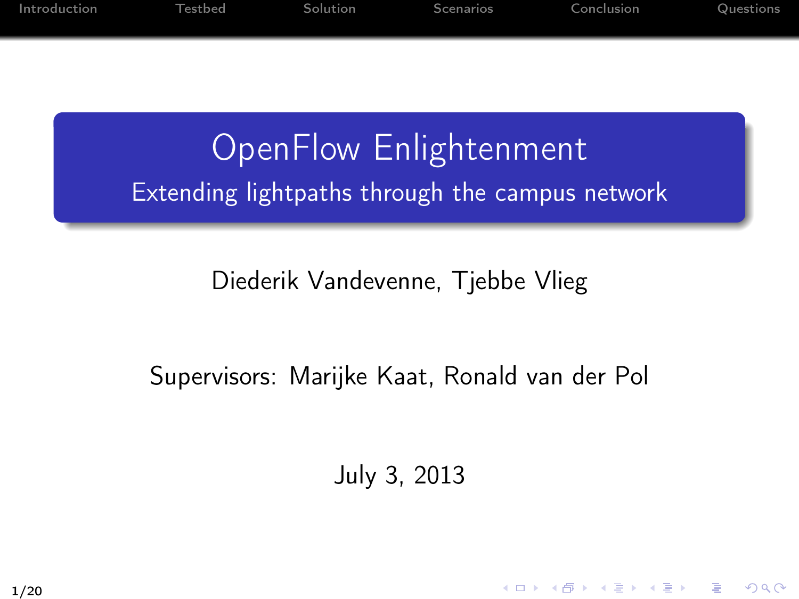| Introduction | Testbed | Solution | Scenarios | Conclusion | Questions |
|--------------|---------|----------|-----------|------------|-----------|
|              |         |          |           |            |           |
|              |         |          |           |            |           |

#### OpenFlow Enlightenment Extending lightpaths through the campus network

#### Diederik Vandevenne, Tjebbe Vlieg

#### Supervisors: Marijke Kaat, Ronald van der Pol

July 3, 2013

KID KADIK KEN KEN EN 1990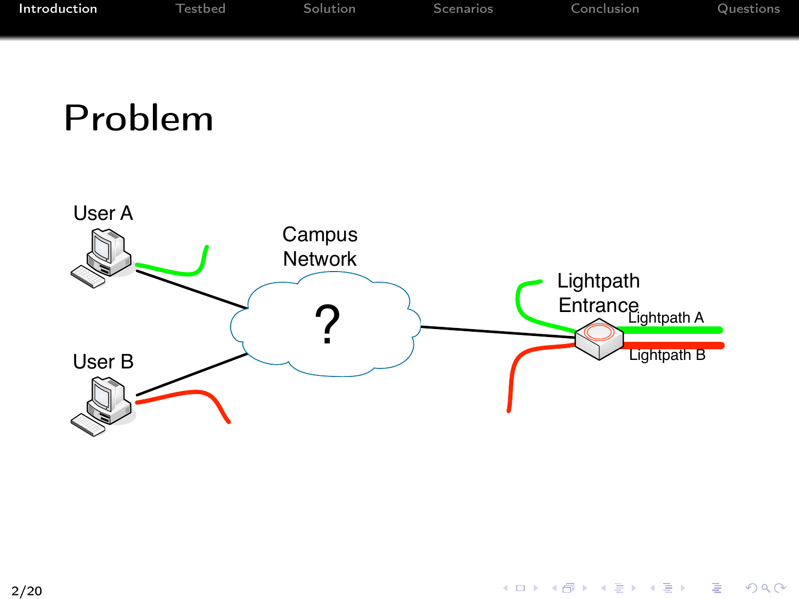| Introduction | Testbed | Solution | Scenarios | Conclusion | Questions |
|--------------|---------|----------|-----------|------------|-----------|
|              |         |          |           |            |           |
|              |         |          |           |            |           |

### Problem

<span id="page-1-0"></span>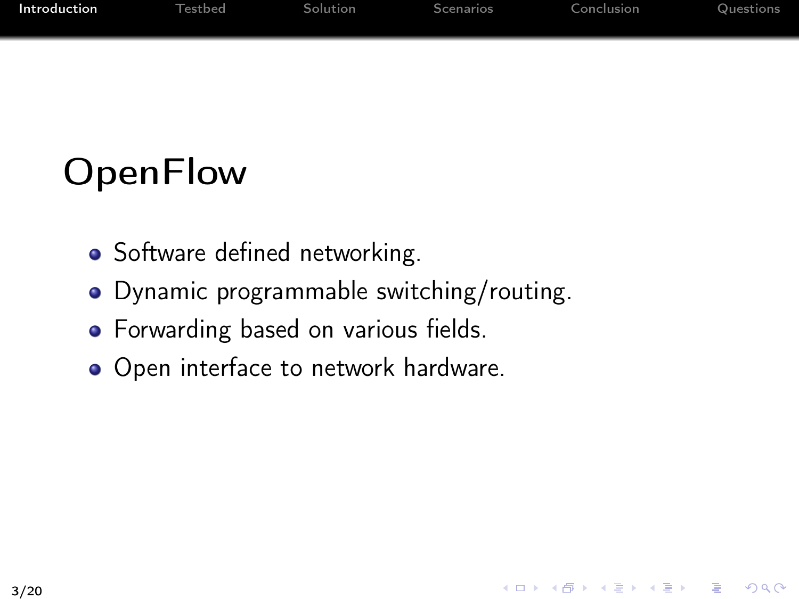| Introduction | Testbed | Solution | Scenarios | Conclusion | Questions |
|--------------|---------|----------|-----------|------------|-----------|
|              |         |          |           |            |           |

4 ロ X 4 日 X 4 ミ X 4 ミ X 3 = 3 4 0 4 0 4

# **OpenFlow**

- Software defined networking.
- Dynamic programmable switching/routing.
- Forwarding based on various fields.
- Open interface to network hardware.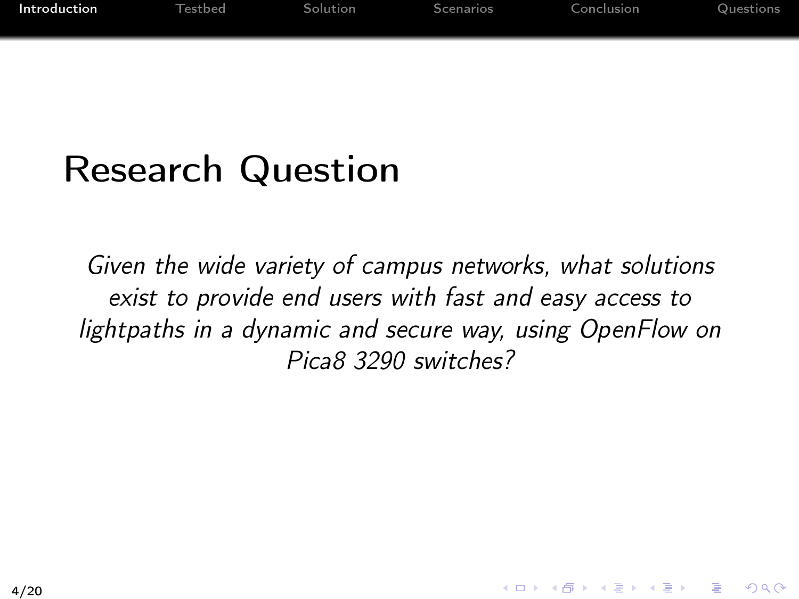| Introduction | <b>Testbed</b> | Solution | Scenarios | Conclusion | Questions |
|--------------|----------------|----------|-----------|------------|-----------|
|              |                |          |           |            |           |

### Research Question

Given the wide variety of campus networks, what solutions exist to provide end users with fast and easy access to lightpaths in a dynamic and secure way, using OpenFlow on Pica8 3290 switches?

イロメ イ母メ イ君メ イ君メー

 $QQQ$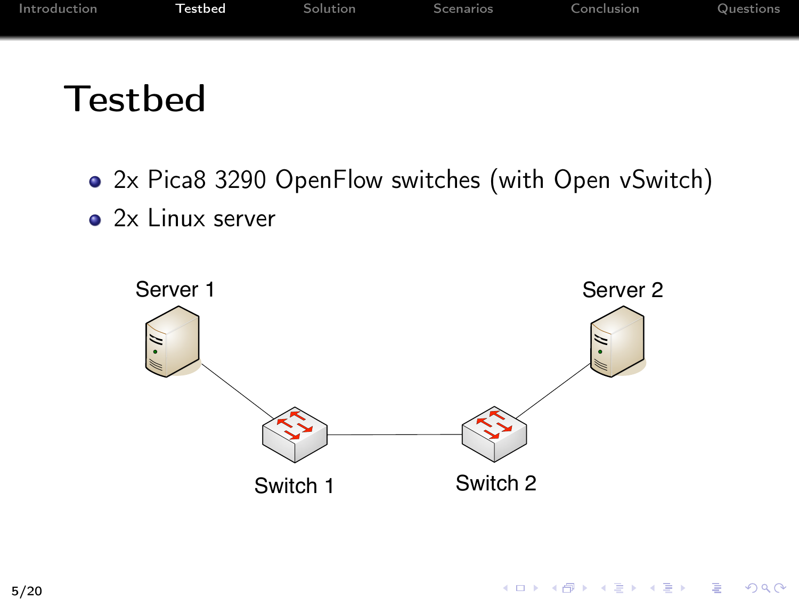| Introduction | <b>Testbed</b> | Solution | Scenarios | Conclusion | Questions |
|--------------|----------------|----------|-----------|------------|-----------|
|              |                |          |           |            |           |

#### Testbed

- 2x Pica8 3290 OpenFlow switches (with Open vSwitch)
- 2x Linux server

<span id="page-4-0"></span>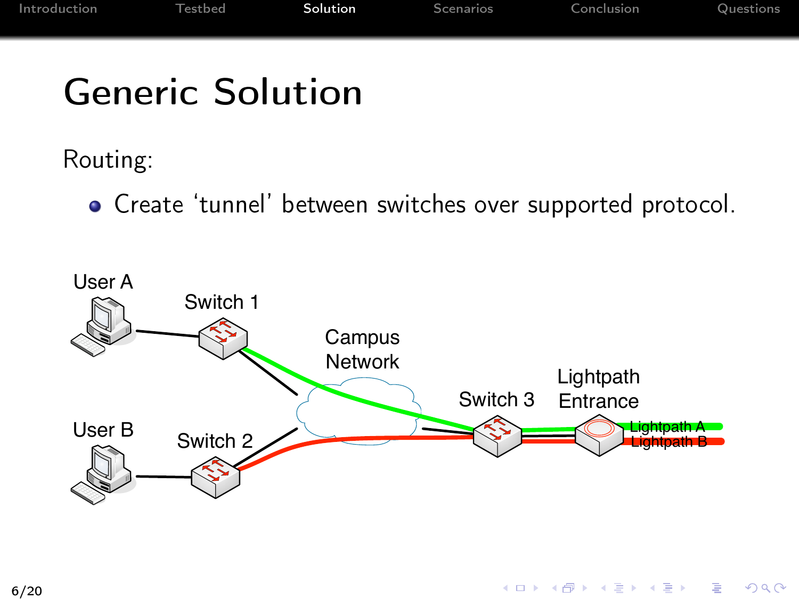# Generic Solution

Routing:

<span id="page-5-0"></span>Create 'tunnel' between switches over supported protocol.

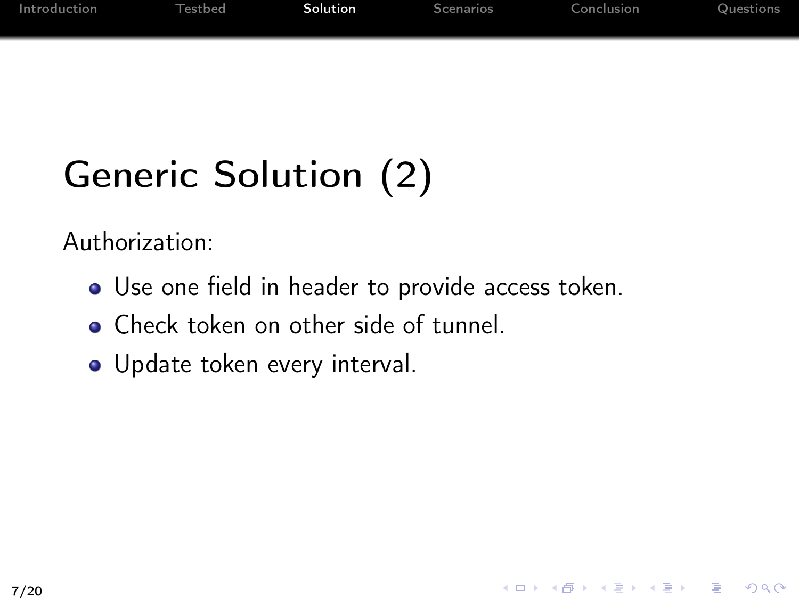| Introduction | <b>Testbed</b> | Solution | Scenarios | Conclusion | Questions |
|--------------|----------------|----------|-----------|------------|-----------|
|              |                |          |           |            |           |
|              |                |          |           |            |           |

# Generic Solution (2)

Authorization:

Use one field in header to provide access token.

K ロ ▶ K @ ▶ K 결 ▶ K 결 ▶ ○ 결

 $200$ 

- **Check token on other side of tunnel.**
- Update token every interval.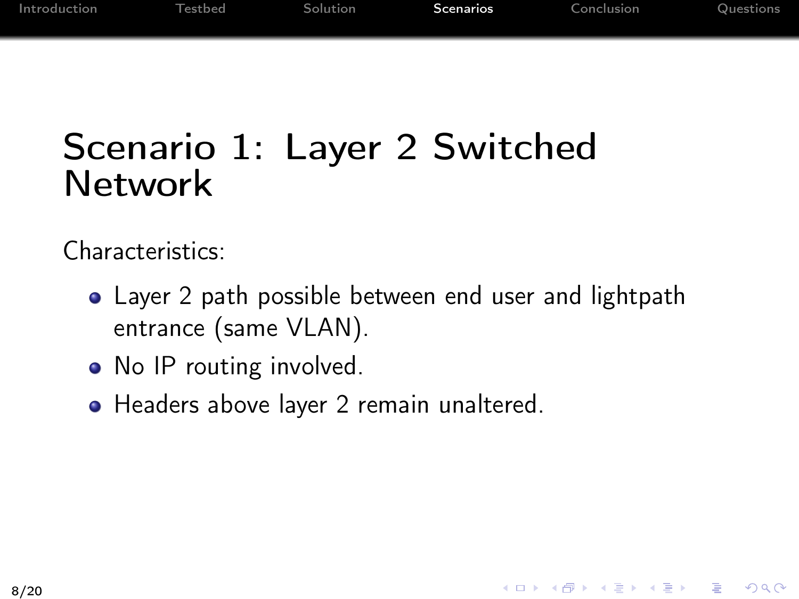<span id="page-7-0"></span>K ロ > K 레 > K 코 > K 코 > 『코 → 이익(^

### Scenario 1: Layer 2 Switched Network

Characteristics:

- Layer 2 path possible between end user and lightpath entrance (same VLAN).
- No IP routing involved.
- Headers above layer 2 remain unaltered.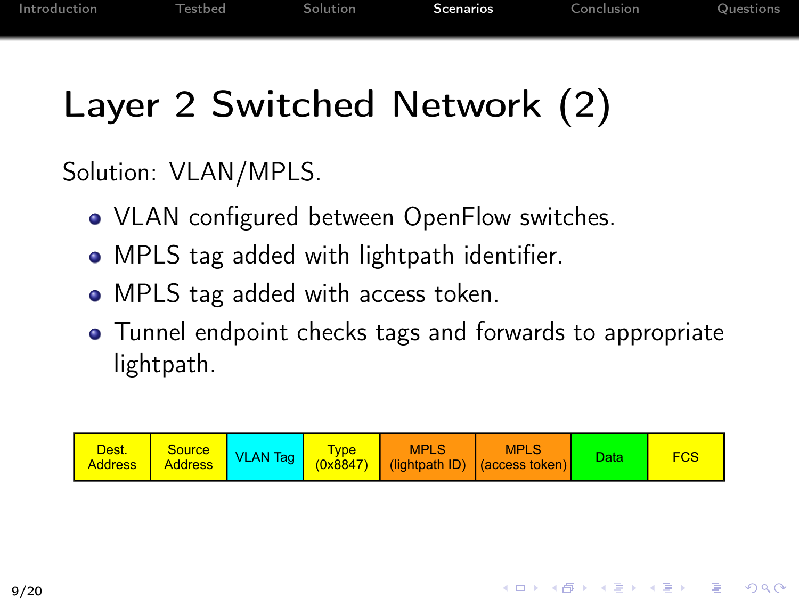# Layer 2 Switched Network (2)

Solution: VLAN/MPLS.

- VLAN configured between OpenFlow switches.
- MPLS tag added with lightpath identifier.
- MPLS tag added with access token.
- Tunnel endpoint checks tags and forwards to appropriate lightpath.

| Dest.<br><b>Address</b> | <b>Source</b><br><b>Address</b> | <b>VLAN Tag</b> | <b>VDe</b><br>(0x8847) | <b>MPLS</b> | <b>MPLS</b><br>(lightpath ID) (access token) | Data |  |
|-------------------------|---------------------------------|-----------------|------------------------|-------------|----------------------------------------------|------|--|
|-------------------------|---------------------------------|-----------------|------------------------|-------------|----------------------------------------------|------|--|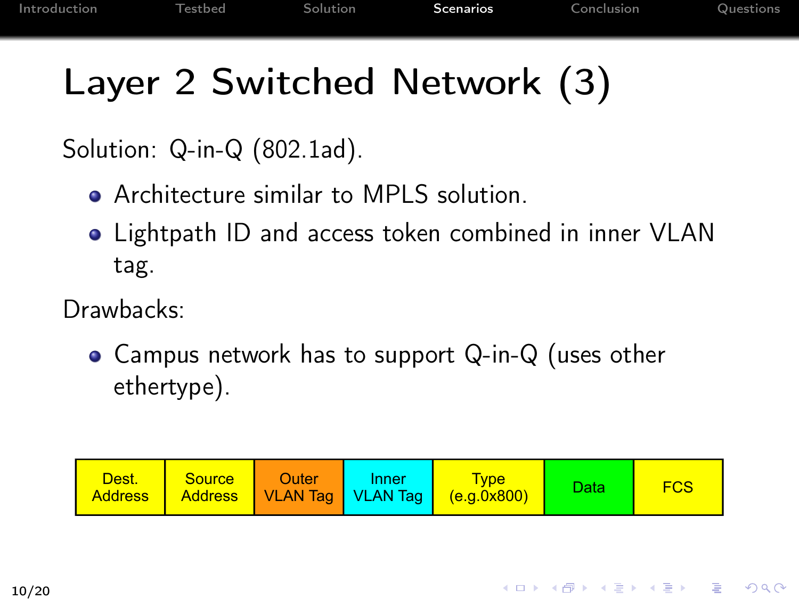KID KAR KID KID KAN KID KA

# Layer 2 Switched Network (3)

Solution: Q-in-Q (802.1ad).

- **Architecture similar to MPLS solution.**
- Lightpath ID and access token combined in inner VLAN tag.

Drawbacks:

• Campus network has to support Q-in-Q (uses other ethertype).

| Dest.<br><b>Address</b> | <b>Source</b> | Outer | Inner | <b>Type</b><br>Address   VLAN Tag   VLAN Tag   (e.g.0x800) | Data | <b>FCS</b> |
|-------------------------|---------------|-------|-------|------------------------------------------------------------|------|------------|
|-------------------------|---------------|-------|-------|------------------------------------------------------------|------|------------|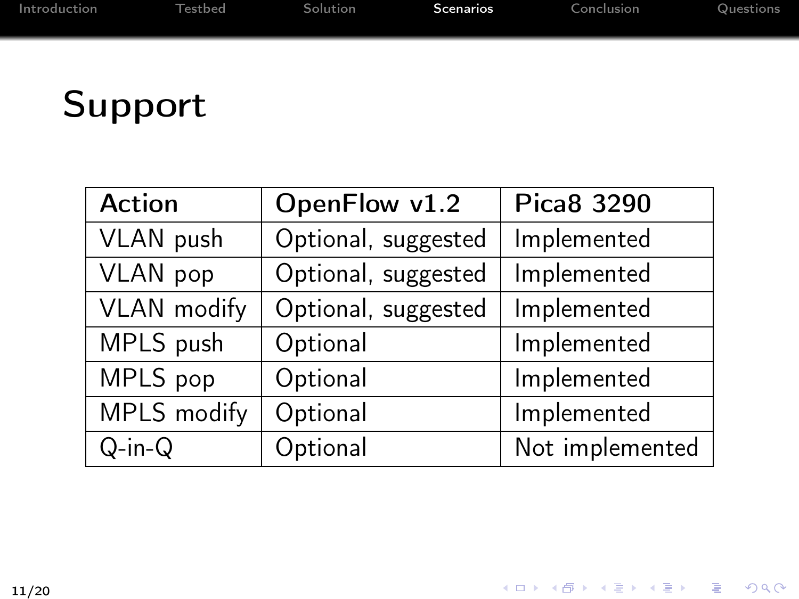# Support

| <b>Action</b>      | OpenFlow v1.2       | Pica8 3290      |
|--------------------|---------------------|-----------------|
| VLAN push          | Optional, suggested | Implemented     |
| VLAN pop           | Optional, suggested | Implemented     |
| <b>VLAN</b> modify | Optional, suggested | Implemented     |
| MPLS push          | Optional            | Implemented     |
| MPLS pop           | Optional            | Implemented     |
| MPLS modify        | Optional            | Implemented     |
| $Q-in-Q$           | Optional            | Not implemented |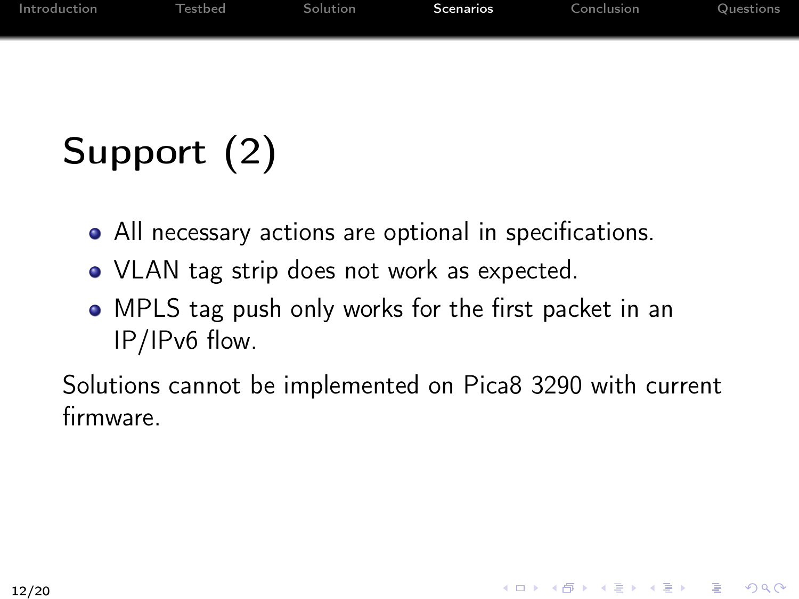| Introduction | Testbed | Solution | Scenarios | Conclusion | Questions |
|--------------|---------|----------|-----------|------------|-----------|
|              |         |          |           |            |           |
|              |         |          |           |            |           |

# Support (2)

- All necessary actions are optional in specifications.
- VLAN tag strip does not work as expected.
- MPLS tag push only works for the first packet in an IP/IPv6 flow.

Solutions cannot be implemented on Pica8 3290 with current firmware.

K □ ▶ K @ ▶ K 할 X K 할 X - 할 X - 9 Q Q ^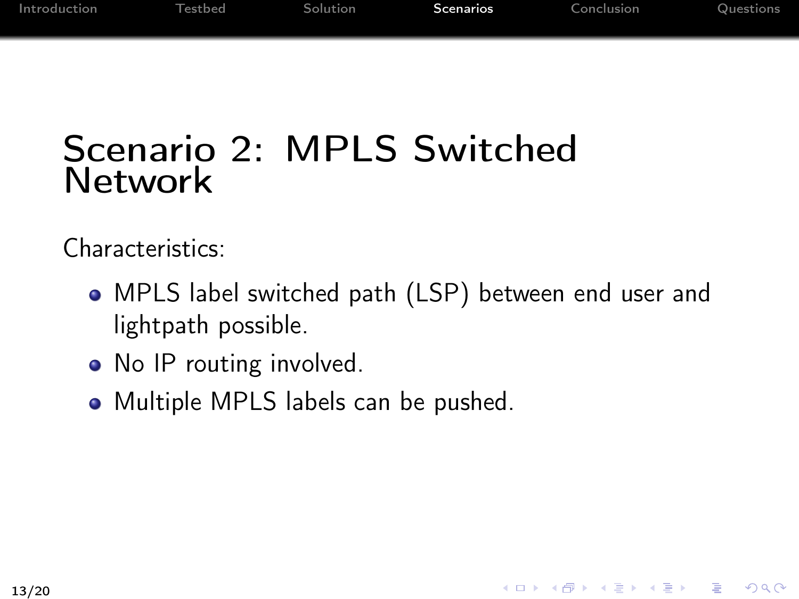#### Scenario 2: MPLS Switched Network

Characteristics:

MPLS label switched path (LSP) between end user and lightpath possible.

K ロ > K 레 > K 코 > K 코 > 『코 → 이익(^

- No IP routing involved.
- Multiple MPLS labels can be pushed.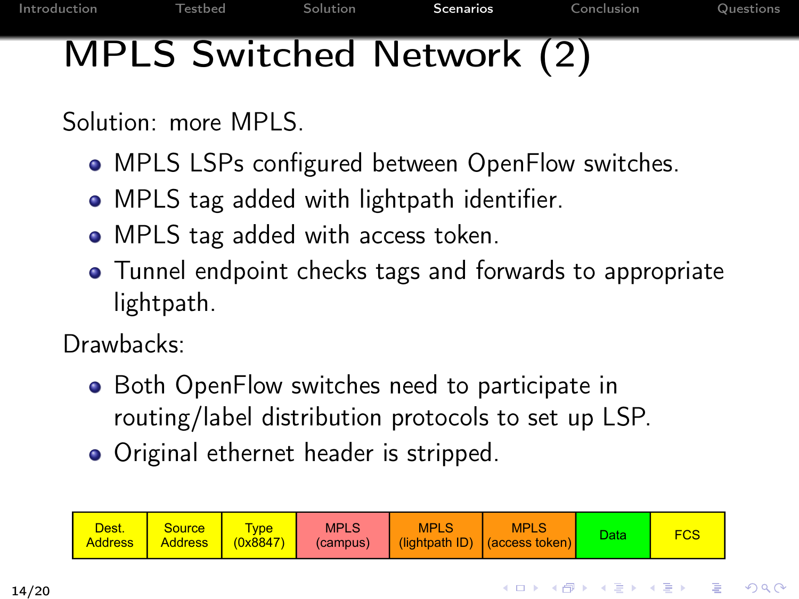# MPLS Switched Network (2)

Solution: more MPLS.

- MPLS LSPs configured between OpenFlow switches.
- MPLS tag added with lightpath identifier.
- MPLS tag added with access token.
- Tunnel endpoint checks tags and forwards to appropriate lightpath.

Drawbacks:

- Both OpenFlow switches need to participate in routing/label distribution protocols to set up LSP.
- Original ethernet header is stripped.

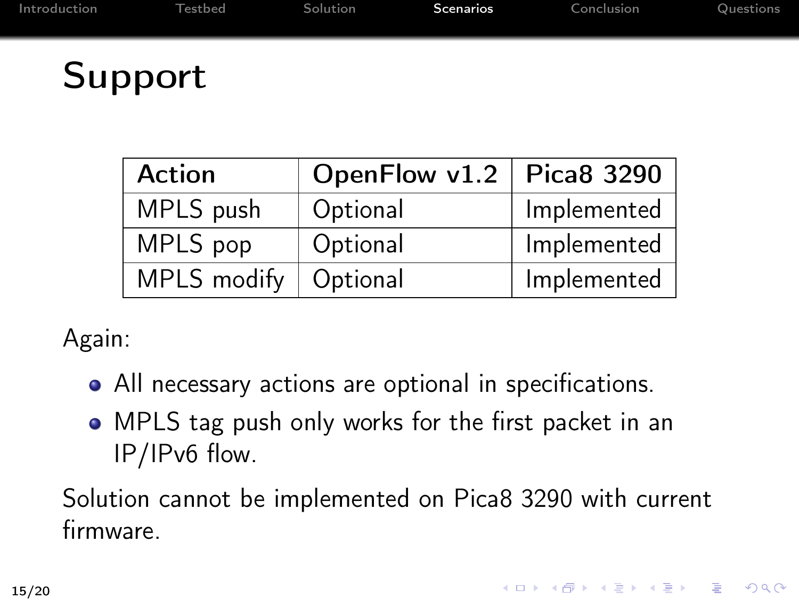Support

| <b>Action</b> | OpenFlow $v1.2$   Pica8 3290 |             |
|---------------|------------------------------|-------------|
| MPLS push     | Optional                     | Implemented |
| MPLS pop      | Optional                     | Implemented |
| MPLS modify   | Optional                     | Implemented |

Again:

- All necessary actions are optional in specifications.
- MPLS tag push only works for the first packet in an IP/IPv6 flow.

Solution cannot be implemented on Pica8 3290 with current firmware.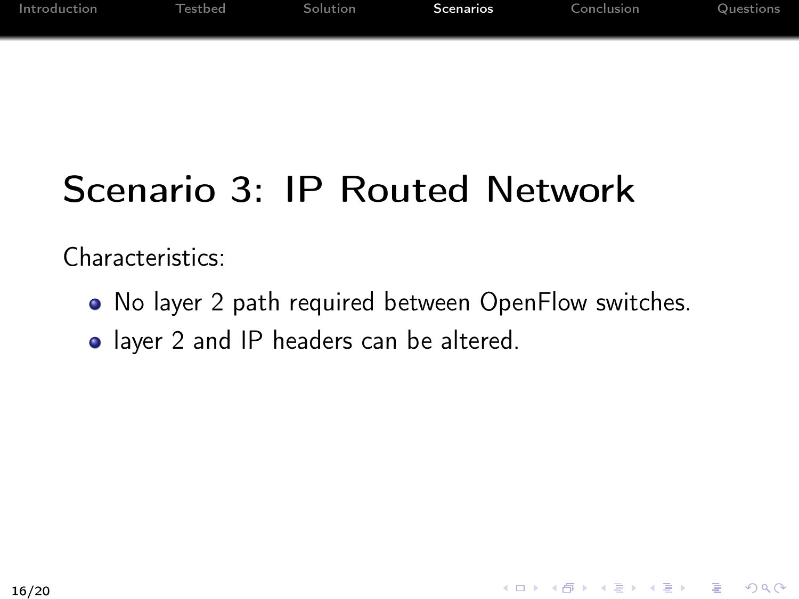| Introduction | <b>Testbed</b> | Solution | Scenarios | Conclusion | Questions |
|--------------|----------------|----------|-----------|------------|-----------|
|              |                |          |           |            |           |

# Scenario 3: IP Routed Network

Characteristics:

• No layer 2 path required between OpenFlow switches.

4 ロ X 4 日 X 4 ミ X 4 ミ X 3 = 3 4 0 4 0 4

• layer 2 and IP headers can be altered.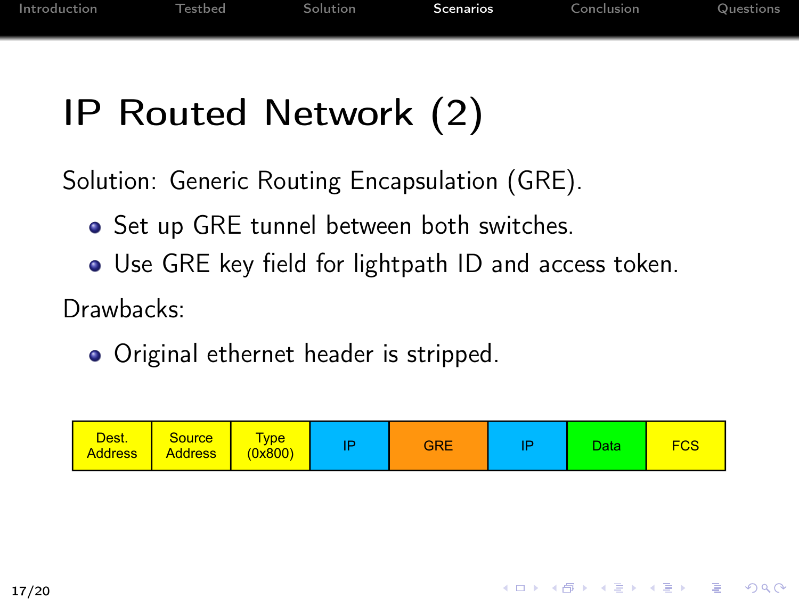# IP Routed Network (2)

Solution: Generic Routing Encapsulation (GRE).

- Set up GRE tunnel between both switches.
- Use GRE key field for lightpath ID and access token.

Drawbacks:

• Original ethernet header is stripped.

| Dest.<br><b>Address</b> | <b>Source</b><br><b>Address</b> | <b>Vpe</b><br>(0x800) |  | <b>GRE</b> | D | Data | FCS |
|-------------------------|---------------------------------|-----------------------|--|------------|---|------|-----|
|-------------------------|---------------------------------|-----------------------|--|------------|---|------|-----|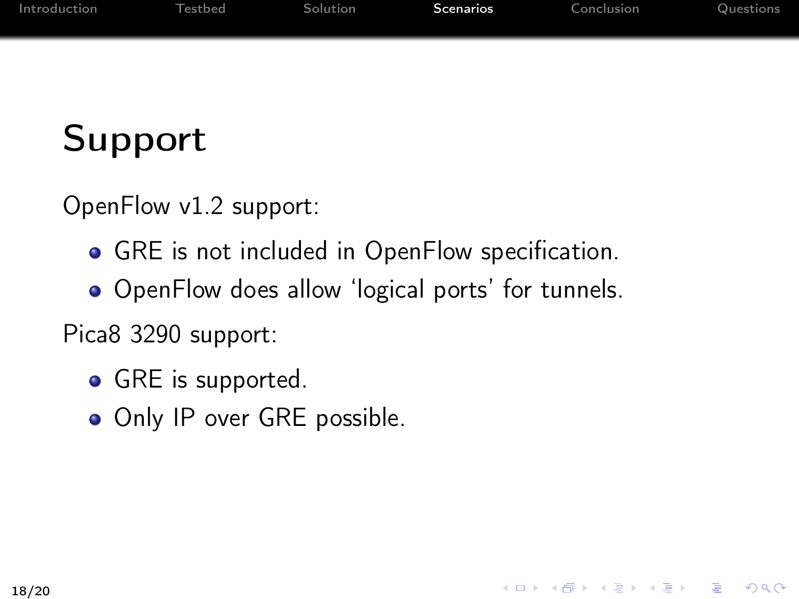| Introduction | <b>Testbed</b> | Solution | <b>Scenarios</b> | Conclusion | Questions |
|--------------|----------------|----------|------------------|------------|-----------|
|              |                |          |                  |            |           |
|              |                |          |                  |            |           |

# Support

OpenFlow v1.2 support:

- GRE is not included in OpenFlow specification.
- OpenFlow does allow 'logical ports' for tunnels.

K ロ > K 레 > K 플 > K 플 > - 플 - K 0 Q Q

Pica8 3290 support:

- GRE is supported.
- Only IP over GRE possible.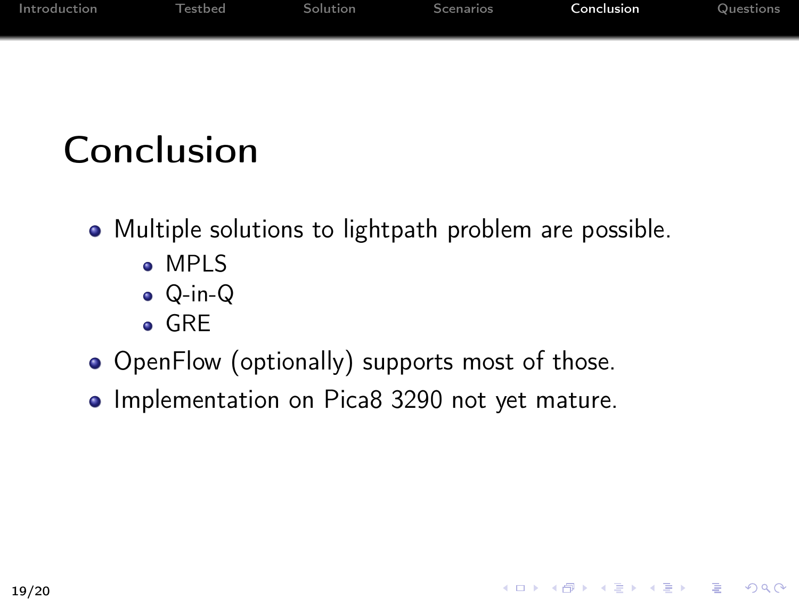| Introduction | Testbed | <b>Solution</b> | Scenarios | <b>Conclusion</b> | Questions |
|--------------|---------|-----------------|-----------|-------------------|-----------|
|              |         |                 |           |                   |           |
|              |         |                 |           |                   |           |

# Conclusion

- Multiple solutions to lightpath problem are possible.
	- MPLS
	- Q-in-Q
	- GRE
- OpenFlow (optionally) supports most of those.
- Implementation on Pica8 3290 not yet mature.

<span id="page-18-0"></span>4 ロ X 4 日 X 4 ミ X 4 ミ X 3 = 3 4 0 4 0 4